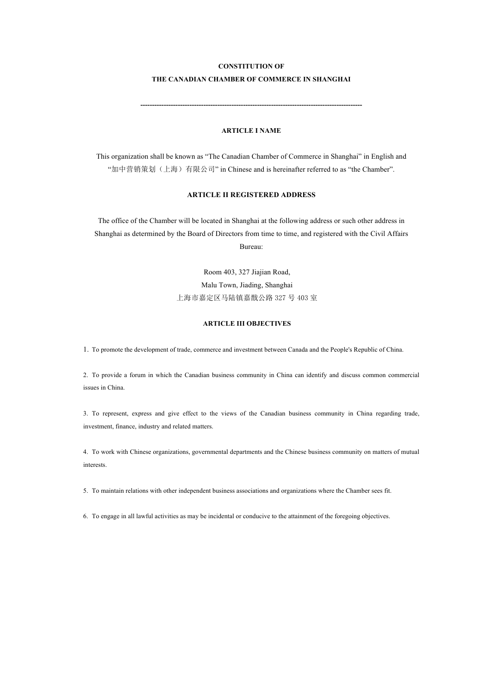# **CONSTITUTION OF**

# **THE CANADIAN CHAMBER OF COMMERCE IN SHANGHAI**

**-----------------------------------------------------------------------------------------------**

# **ARTICLE I NAME**

This organization shall be known as "The Canadian Chamber of Commerce in Shanghai" in English and "加中营销策划(上海)有限公司" in Chinese and is hereinafter referred to as "the Chamber".

# **ARTICLE II REGISTERED ADDRESS**

The office of the Chamber will be located in Shanghai at the following address or such other address in Shanghai as determined by the Board of Directors from time to time, and registered with the Civil Affairs Bureau:

> Room 403, 327 Jiajian Road, Malu Town, Jiading, Shanghai 上海市嘉定区马陆镇嘉戬公路 327 号 403 室

# **ARTICLE III OBJECTIVES**

1. To promote the development of trade, commerce and investment between Canada and the People's Republic of China.

2. To provide a forum in which the Canadian business community in China can identify and discuss common commercial issues in China.

3. To represent, express and give effect to the views of the Canadian business community in China regarding trade, investment, finance, industry and related matters.

4. To work with Chinese organizations, governmental departments and the Chinese business community on matters of mutual interests.

5. To maintain relations with other independent business associations and organizations where the Chamber sees fit.

6. To engage in all lawful activities as may be incidental or conducive to the attainment of the foregoing objectives.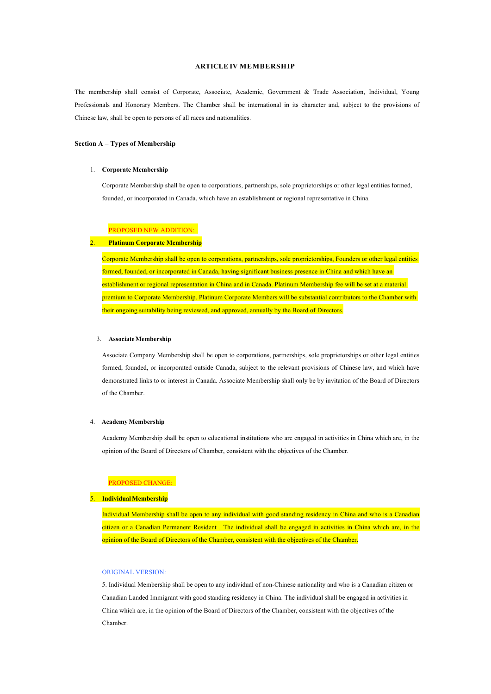### **ARTICLE IV MEMBERSHIP**

The membership shall consist of Corporate, Associate, Academic, Government & Trade Association, Individual, Young Professionals and Honorary Members. The Chamber shall be international in its character and, subject to the provisions of Chinese law, shall be open to persons of all races and nationalities.

## **Section A – Types of Membership**

#### 1. **Corporate Membership**

Corporate Membership shall be open to corporations, partnerships, sole proprietorships or other legal entities formed, founded, or incorporated in Canada, which have an establishment or regional representative in China.

# PROPOSED NEW ADDITION:

# 2. **Platinum Corporate Membership**

Corporate Membership shall be open to corporations, partnerships, sole proprietorships, Founders or other legal entities formed, founded, or incorporated in Canada, having significant business presence in China and which have an establishment or regional representation in China and in Canada. Platinum Membership fee will be set at a material premium to Corporate Membership. Platinum Corporate Members will be substantial contributors to the Chamber with their ongoing suitability being reviewed, and approved, annually by the Board of Directors.

#### 3. **AssociateMembership**

Associate Company Membership shall be open to corporations, partnerships, sole proprietorships or other legal entities formed, founded, or incorporated outside Canada, subject to the relevant provisions of Chinese law, and which have demonstrated links to or interest in Canada. Associate Membership shall only be by invitation of the Board of Directors of the Chamber.

#### 4. **Academy Membership**

Academy Membership shall be open to educational institutions who are engaged in activities in China which are, in the opinion of the Board of Directors of Chamber, consistent with the objectives of the Chamber.

## PROPOSED CHANGE:

#### 5. **IndividualMembership**

Individual Membership shall be open to any individual with good standing residency in China and who is a Canadian citizen or a Canadian Permanent Resident . The individual shall be engaged in activities in China which are, in the opinion of the Board of Directors of the Chamber, consistent with the objectives of the Chamber.

### ORIGINAL VERSION:

5. Individual Membership shall be open to any individual of non-Chinese nationality and who is a Canadian citizen or Canadian Landed Immigrant with good standing residency in China. The individual shall be engaged in activities in China which are, in the opinion of the Board of Directors of the Chamber, consistent with the objectives of the Chamber.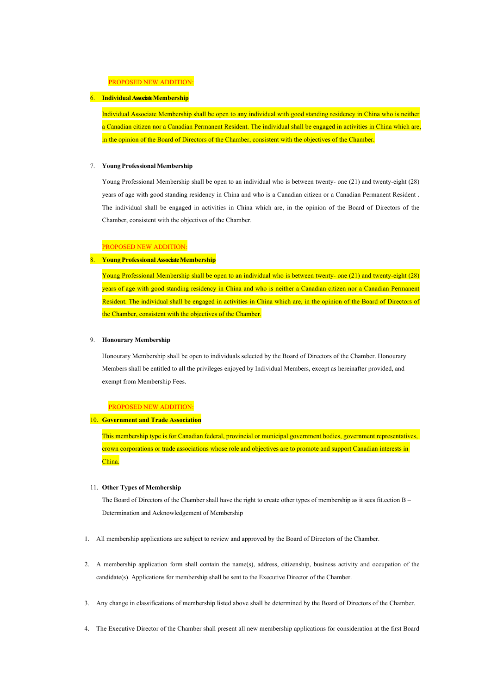# PROPOSED NEW ADDITION:

# 6. **IndividualAssociate Membership**

Individual Associate Membership shall be open to any individual with good standing residency in China who is neither a Canadian citizen nor a Canadian Permanent Resident. The individual shall be engaged in activities in China which are, in the opinion of the Board of Directors of the Chamber, consistent with the objectives of the Chamber.

#### 7. **Young Professional Membership**

Young Professional Membership shall be open to an individual who is between twenty- one (21) and twenty-eight (28) years of age with good standing residency in China and who is a Canadian citizen or a Canadian Permanent Resident . The individual shall be engaged in activities in China which are, in the opinion of the Board of Directors of the Chamber, consistent with the objectives of the Chamber.

### PROPOSED NEW ADDITION:

## 8. **Young Professional Associate Membership**

Young Professional Membership shall be open to an individual who is between twenty- one (21) and twenty-eight (28) years of age with good standing residency in China and who is neither a Canadian citizen nor a Canadian Permanent Resident. The individual shall be engaged in activities in China which are, in the opinion of the Board of Directors of the Chamber, consistent with the objectives of the Chamber.

#### 9. **Honourary Membership**

Honourary Membership shall be open to individuals selected by the Board of Directors of the Chamber. Honourary Members shall be entitled to all the privileges enjoyed by Individual Members, except as hereinafter provided, and exempt from Membership Fees.

### PROPOSED NEW ADDITION:

## 10. **Government and Trade Association**

This membership type is for Canadian federal, provincial or municipal government bodies, government representatives, crown corporations or trade associations whose role and objectives are to promote and support Canadian interests in China.

#### 11. **Other Types of Membership**

The Board of Directors of the Chamber shall have the right to create other types of membership as it sees fit.ection B – Determination and Acknowledgement of Membership

- 1. All membership applications are subject to review and approved by the Board of Directors of the Chamber.
- 2. A membership application form shall contain the name(s), address, citizenship, business activity and occupation of the candidate(s). Applications for membership shall be sent to the Executive Director of the Chamber.
- 3. Any change in classifications of membership listed above shall be determined by the Board of Directors of the Chamber.
- 4. The Executive Director of the Chamber shall present all new membership applications for consideration at the first Board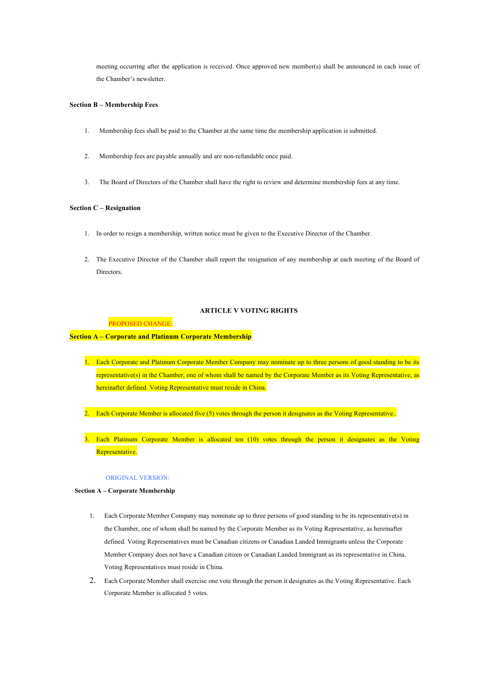meeting occurring after the application is received. Once approved new member(s) shall be announced in each issue of the Chamber's newsletter.

### **Section B – Membership Fees**

- 1. Membership fees shall be paid to the Chamber at the same time the membership application is submitted.
- 2. Membership fees are payable annually and are non-refundable once paid.
- 3. The Board of Directors of the Chamber shall have the right to review and determine membership fees at any time.

### **Section C – Resignation**

- 1. In order to resign a membership, written notice must be given to the Executive Director of the Chamber.
- 2. The Executive Director of the Chamber shall report the resignation of any membership at each meeting of the Board of Directors.

## **ARTICLE V VOTING RIGHTS**

PROPOSED CHANGE:

### **Section A – Corporate and Platinum Corporate Membership**

- 1. Each Corporate and Platinum Corporate Member Company may nominate up to three persons of good standing to be its representative(s) in the Chamber, one of whom shall be named by the Corporate Member as its Voting Representative, as hereinafter defined. Voting Representative must reside in China.
- 2. Each Corporate Member is allocated five (5) votes through the person it designates as the Voting Representative..
- 3. Each Platinum Corporate Member is allocated ten (10) votes through the person it designates as the Voting Representative.

#### ORIGINAL VERSION:

### **Section A – Corporate Membership**

- 1. Each Corporate Member Company may nominate up to three persons of good standing to be its representative(s) in the Chamber, one of whom shall be named by the Corporate Member as its Voting Representative, as hereinafter defined. Voting Representatives must be Canadian citizens or Canadian Landed Immigrants unless the Corporate Member Company does not have a Canadian citizen or Canadian Landed Immigrant as its representative in China. Voting Representatives must reside in China.
- 2. Each Corporate Member shall exercise one vote through the person it designates as the Voting Representative. Each Corporate Member is allocated 5 votes.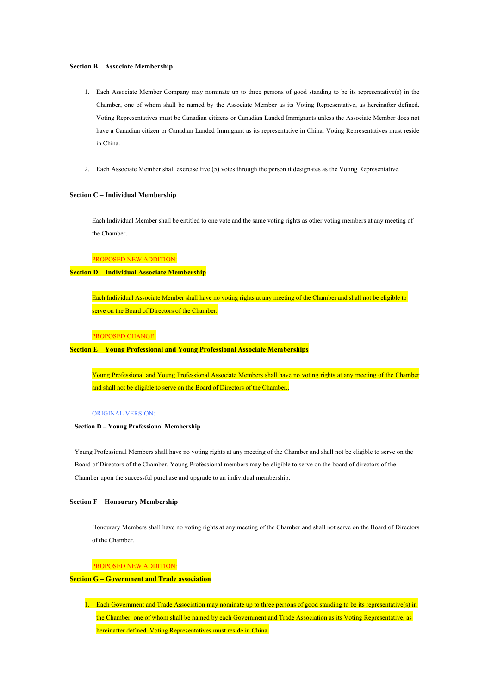#### **Section B – Associate Membership**

- 1. Each Associate Member Company may nominate up to three persons of good standing to be its representative(s) in the Chamber, one of whom shall be named by the Associate Member as its Voting Representative, as hereinafter defined. Voting Representatives must be Canadian citizens or Canadian Landed Immigrants unless the Associate Member does not have a Canadian citizen or Canadian Landed Immigrant as its representative in China. Voting Representatives must reside in China.
- 2. Each Associate Member shall exercise five (5) votes through the person it designates as the Voting Representative.

## **Section C – Individual Membership**

Each Individual Member shall be entitled to one vote and the same voting rights as other voting members at any meeting of the Chamber.

### PROPOSED NEW ADDITION:

## **Section D – Individual Associate Membership**

Each Individual Associate Member shall have no voting rights at any meeting of the Chamber and shall not be eligible to serve on the Board of Directors of the Chamber.

### PROPOSED CHANGE:

## **Section E – Young Professional and Young Professional Associate Memberships**

Young Professional and Young Professional Associate Members shall have no voting rights at any meeting of the Chamber and shall not be eligible to serve on the Board of Directors of the Chamber..

#### ORIGINAL VERSION:

### **Section D – Young Professional Membership**

Young Professional Members shall have no voting rights at any meeting of the Chamber and shall not be eligible to serve on the Board of Directors of the Chamber. Young Professional members may be eligible to serve on the board of directors of the Chamber upon the successful purchase and upgrade to an individual membership.

### **Section F – Honourary Membership**

Honourary Members shall have no voting rights at any meeting of the Chamber and shall not serve on the Board of Directors of the Chamber.

## PROPOSED NEW ADDITION:

## **Section G – Government and Trade association**

1. Each Government and Trade Association may nominate up to three persons of good standing to be its representative(s) in the Chamber, one of whom shall be named by each Government and Trade Association as its Voting Representative, as hereinafter defined. Voting Representatives must reside in China.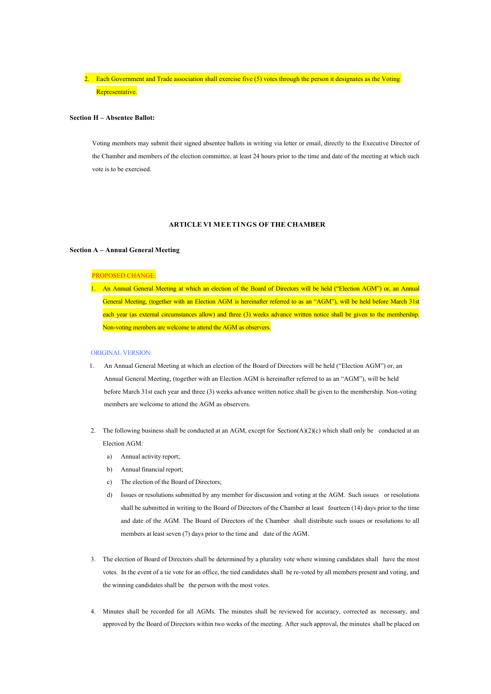2. Each Government and Trade association shall exercise five  $(5)$  votes through the person it designates as the Voting Representative.

### **Section H – Absentee Ballot:**

Voting members may submit their signed absentee ballots in writing via letter or email, directly to the Executive Director of the Chamber and members of the election committee, at least 24 hours prior to the time and date of the meeting at which such vote is to be exercised.

### **ARTICLE VI MEETINGS OF THE CHAMBER**

## **Section A – Annual General Meeting**

## PROPOSED CHANGE:

1. An Annual General Meeting at which an election of the Board of Directors will be held ("Election AGM") or, an Annual General Meeting, (together with an Election AGM is hereinafter referred to as an "AGM"), will be held before March 31st each year (as external circumstances allow) and three (3) weeks advance written notice shall be given to the membership. Non-voting members are welcome to attend the AGM as observers.

### ORIGINAL VERSION:

- 1. An Annual General Meeting at which an election of the Board of Directors will be held ("Election AGM") or, an Annual General Meeting, (together with an Election AGM is hereinafter referred to as an "AGM"), will be held before March 31st each year and three (3) weeks advance written notice shall be given to the membership. Non-voting members are welcome to attend the AGM as observers.
- 2. The following business shall be conducted at an AGM, except for Section(A)(2)(c) which shall only be conducted at an Election AGM:
	- a) Annual activity report;
	- b) Annual financial report;
	- c) The election of the Board of Directors;
	- d) Issues or resolutions submitted by any member for discussion and voting at the AGM. Such issues or resolutions shall be submitted in writing to the Board of Directors of the Chamber at least fourteen (14) days prior to the time and date of the AGM. The Board of Directors of the Chamber shall distribute such issues or resolutions to all members at least seven (7) days prior to the time and date of the AGM.
- 3. The election of Board of Directors shall be determined by a plurality vote where winning candidates shall have the most votes. In the event of a tie vote for an office, the tied candidates shall be re-voted by all members present and voting, and the winning candidates shall be the person with the most votes.
- 4. Minutes shall be recorded for all AGMs. The minutes shall be reviewed for accuracy, corrected as necessary, and approved by the Board of Directors within two weeks of the meeting. After such approval, the minutes shall be placed on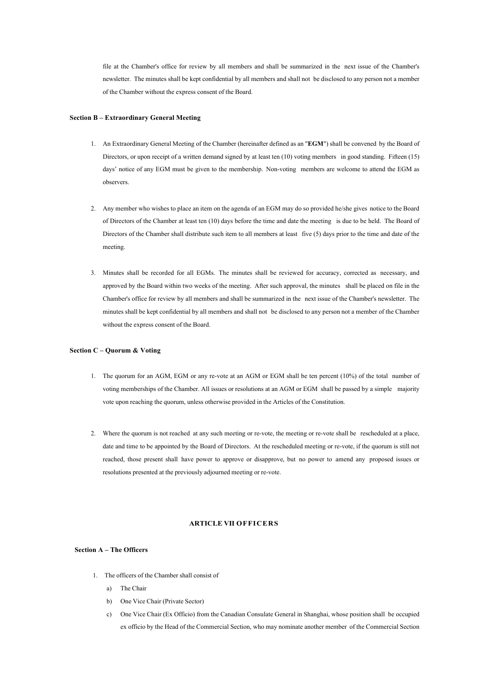file at the Chamber's office for review by all members and shall be summarized in the next issue of the Chamber's newsletter. The minutes shall be kept confidential by all members and shall not be disclosed to any person not a member of the Chamber without the express consent of the Board.

### **Section B – Extraordinary General Meeting**

- 1. An Extraordinary General Meeting of the Chamber (hereinafter defined as an "**EGM**") shall be convened by the Board of Directors, or upon receipt of a written demand signed by at least ten (10) voting members in good standing. Fifteen (15) days' notice of any EGM must be given to the membership. Non-voting members are welcome to attend the EGM as observers.
- 2. Any member who wishes to place an item on the agenda of an EGM may do so provided he/she gives notice to the Board of Directors of the Chamber at least ten (10) days before the time and date the meeting is due to be held. The Board of Directors of the Chamber shall distribute such item to all members at least five (5) days prior to the time and date of the meeting.
- 3. Minutes shall be recorded for all EGMs. The minutes shall be reviewed for accuracy, corrected as necessary, and approved by the Board within two weeks of the meeting. After such approval, the minutes shall be placed on file in the Chamber's office for review by all members and shall be summarized in the next issue of the Chamber's newsletter. The minutes shall be kept confidential by all members and shall not be disclosed to any person not a member of the Chamber without the express consent of the Board.

### **Section C – Quorum & Voting**

- 1. The quorum for an AGM, EGM or any re-vote at an AGM or EGM shall be ten percent (10%) of the total number of voting memberships of the Chamber. All issues or resolutions at an AGM or EGM shall be passed by a simple majority vote upon reaching the quorum, unless otherwise provided in the Articles of the Constitution.
- 2. Where the quorum is not reached at any such meeting or re-vote, the meeting or re-vote shall be rescheduled at a place, date and time to be appointed by the Board of Directors. At the rescheduled meeting or re-vote, if the quorum is still not reached, those present shall have power to approve or disapprove, but no power to amend any proposed issues or resolutions presented at the previously adjourned meeting or re-vote.

# **ARTICLE VII OFFICERS**

### **Section A – The Officers**

- 1. The officers of the Chamber shall consist of
	- a) The Chair
	- b) One Vice Chair (Private Sector)
	- c) One Vice Chair (Ex Officio) from the Canadian Consulate General in Shanghai, whose position shall be occupied ex officio by the Head of the Commercial Section, who may nominate another member of the Commercial Section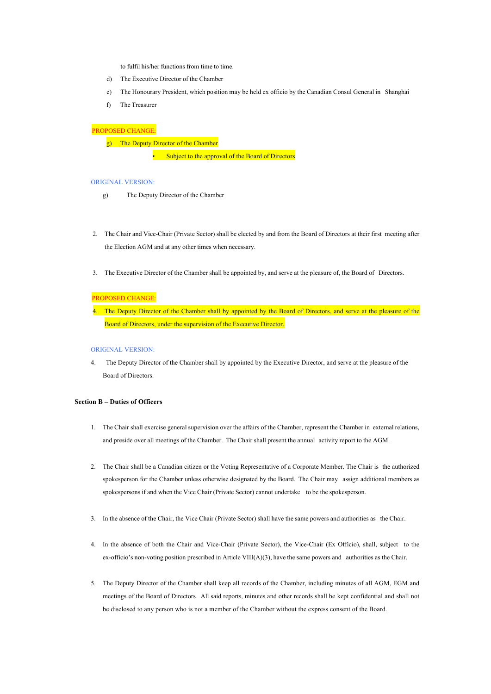to fulfil his/her functions from time to time.

- d) The Executive Director of the Chamber
- e) The Honourary President, which position may be held ex officio by the Canadian Consul General in Shanghai
- f) The Treasurer

# PROPOSED CHANGE:

g) The Deputy Director of the Chamber

• Subject to the approval of the Board of Directors

#### ORIGINAL VERSION:

- g) The Deputy Director of the Chamber
- 2. The Chair and Vice-Chair (Private Sector) shall be elected by and from the Board of Directors at their first meeting after the Election AGM and at any other times when necessary.
- 3. The Executive Director of the Chamber shall be appointed by, and serve at the pleasure of, the Board of Directors.

### PROPOSED CHANGE:

```
4. The Deputy Director of the Chamber shall by appointed by the Board of Directors, and serve at the pleasure of the
Board of Directors, under the supervision of the Executive Director.
```
### ORIGINAL VERSION:

4. The Deputy Director of the Chamber shall by appointed by the Executive Director, and serve at the pleasure of the Board of Directors.

# **Section B – Duties of Officers**

- 1. The Chair shall exercise general supervision over the affairs of the Chamber, represent the Chamber in external relations, and preside over all meetings of the Chamber. The Chair shall present the annual activity report to the AGM.
- 2. The Chair shall be a Canadian citizen or the Voting Representative of a Corporate Member. The Chair is the authorized spokesperson for the Chamber unless otherwise designated by the Board. The Chair may assign additional members as spokespersons if and when the Vice Chair (Private Sector) cannot undertake to be the spokesperson.
- 3. In the absence of the Chair, the Vice Chair (Private Sector) shall have the same powers and authorities as the Chair.
- 4. In the absence of both the Chair and Vice-Chair (Private Sector), the Vice-Chair (Ex Officio), shall, subject to the ex-officio's non-voting position prescribed in Article VIII(A)(3), have the same powers and authorities as the Chair.
- 5. The Deputy Director of the Chamber shall keep all records of the Chamber, including minutes of all AGM, EGM and meetings of the Board of Directors. All said reports, minutes and other records shall be kept confidential and shall not be disclosed to any person who is not a member of the Chamber without the express consent of the Board.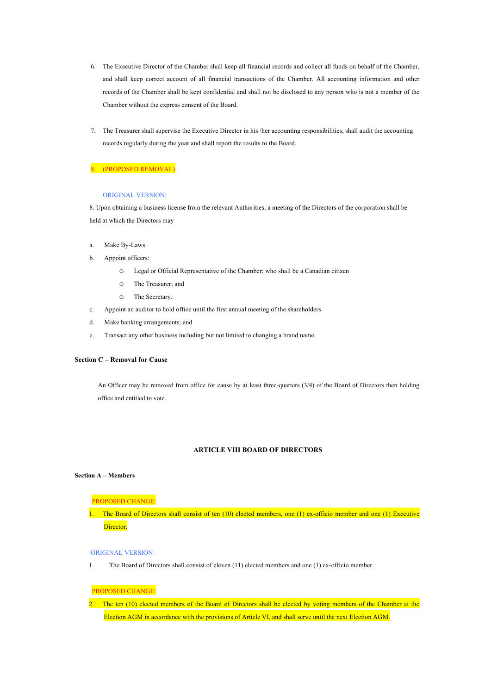- 6. The Executive Director of the Chamber shall keep all financial records and collect all funds on behalf of the Chamber, and shall keep correct account of all financial transactions of the Chamber. All accounting information and other records of the Chamber shall be kept confidential and shall not be disclosed to any person who is not a member of the Chamber without the express consent of the Board.
- 7. The Treasurer shall supervise the Executive Director in his /her accounting responsibilities, shall audit the accounting records regularly during the year and shall report the results to the Board.

## 8. (PROPOSED REMOVAL)

### ORIGINAL VERSION:

8. Upon obtaining a business license from the relevant Authorities, a meeting of the Directors of the corporation shall be held at which the Directors may

- a. Make By-Laws
- b. Appoint officers:
	- o Legal or Official Representative of the Chamber; who shall be a Canadian citizen
	- o The Treasurer; and
	- o The Secretary.
- c. Appoint an auditor to hold office until the first annual meeting of the shareholders
- d. Make banking arrangements; and
- e. Transact any other business including but not limited to changing a brand name.

# **Section C – Removal for Cause**

An Officer may be removed from office for cause by at least three-quarters (3/4) of the Board of Directors then holding office and entitled to vote.

# **ARTICLE VIII BOARD OF DIRECTORS**

# **Section A – Members**

### PROPOSED CHANGE:

1. The Board of Directors shall consist of ten (10) elected members, one (1) ex-officio member and one (1) Executive Director.

#### ORIGINAL VERSION:

1. The Board of Directors shall consist of eleven (11) elected members and one (1) ex-officio member.

## PROPOSED CHANGE:

2. The ten (10) elected members of the Board of Directors shall be elected by voting members of the Chamber at the Election AGM in accordance with the provisions of Article VI, and shall serve until the next Election AGM.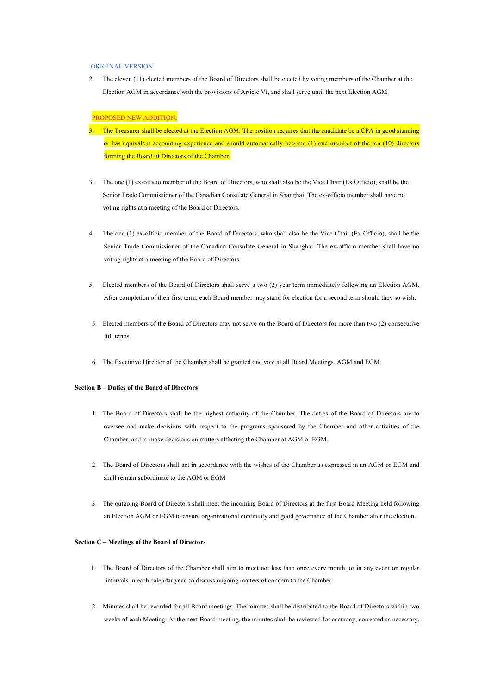#### ORIGINAL VERSION:

2. The eleven (11) elected members of the Board of Directors shall be elected by voting members of the Chamber at the Election AGM in accordance with the provisions of Article VI, and shall serve until the next Election AGM.

### PROPOSED NEW ADDITION:

- 3. The Treasurer shall be elected at the Election AGM. The position requires that the candidate be a CPA in good standing or has equivalent accounting experience and should automatically become (1) one member of the ten (10) directors forming the Board of Directors of the Chamber.
- 3. The one (1) ex-officio member of the Board of Directors, who shall also be the Vice Chair (Ex Officio), shall be the Senior Trade Commissioner of the Canadian Consulate General in Shanghai. The ex-officio member shall have no voting rights at a meeting of the Board of Directors.
- 4. The one (1) ex-officio member of the Board of Directors, who shall also be the Vice Chair (Ex Officio), shall be the Senior Trade Commissioner of the Canadian Consulate General in Shanghai. The ex-officio member shall have no voting rights at a meeting of the Board of Directors.
- 5. Elected members of the Board of Directors shall serve a two (2) year term immediately following an Election AGM. After completion of their first term, each Board member may stand for election for a second term should they so wish.
- 5. Elected members of the Board of Directors may not serve on the Board of Directors for more than two (2) consecutive full terms.
- 6. The Executive Director of the Chamber shall be granted one vote at all Board Meetings, AGM and EGM.

### **Section B – Duties of the Board of Directors**

- 1. The Board of Directors shall be the highest authority of the Chamber. The duties of the Board of Directors are to oversee and make decisions with respect to the programs sponsored by the Chamber and other activities of the Chamber, and to make decisions on matters affecting the Chamber at AGM or EGM.
- 2. The Board of Directors shall act in accordance with the wishes of the Chamber as expressed in an AGM or EGM and shall remain subordinate to the AGM or EGM
- 3. The outgoing Board of Directors shall meet the incoming Board of Directors at the first Board Meeting held following an Election AGM or EGM to ensure organizational continuity and good governance of the Chamber after the election.

### **Section C – Meetings of the Board of Directors**

- 1. The Board of Directors of the Chamber shall aim to meet not less than once every month, or in any event on regular intervals in each calendar year, to discuss ongoing matters of concern to the Chamber.
- 2. Minutes shall be recorded for all Board meetings. The minutes shall be distributed to the Board of Directors within two weeks of each Meeting. At the next Board meeting, the minutes shall be reviewed for accuracy, corrected as necessary,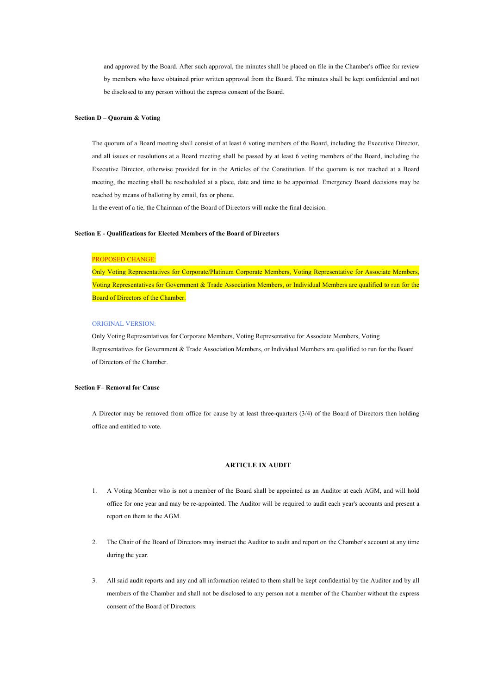and approved by the Board. After such approval, the minutes shall be placed on file in the Chamber's office for review by members who have obtained prior written approval from the Board. The minutes shall be kept confidential and not be disclosed to any person without the express consent of the Board.

### **Section D – Quorum & Voting**

The quorum of a Board meeting shall consist of at least 6 voting members of the Board, including the Executive Director, and all issues or resolutions at a Board meeting shall be passed by at least 6 voting members of the Board, including the Executive Director, otherwise provided for in the Articles of the Constitution. If the quorum is not reached at a Board meeting, the meeting shall be rescheduled at a place, date and time to be appointed. Emergency Board decisions may be reached by means of balloting by email, fax or phone.

In the event of a tie, the Chairman of the Board of Directors will make the final decision.

#### **Section E - Qualifications for Elected Members of the Board of Directors**

### PROPOSED CHANGE:

Only Voting Representatives for Corporate/Platinum Corporate Members, Voting Representative for Associate Members, Voting Representatives for Government & Trade Association Members, or Individual Members are qualified to run for the **Board of Directors of the Chamber.** 

### ORIGINAL VERSION:

Only Voting Representatives for Corporate Members, Voting Representative for Associate Members, Voting Representatives for Government & Trade Association Members, or Individual Members are qualified to run for the Board of Directors of the Chamber.

### **Section F– Removal for Cause**

A Director may be removed from office for cause by at least three-quarters (3/4) of the Board of Directors then holding office and entitled to vote.

### **ARTICLE IX AUDIT**

- 1. A Voting Member who is not a member of the Board shall be appointed as an Auditor at each AGM, and will hold office for one year and may be re-appointed. The Auditor will be required to audit each year's accounts and present a report on them to the AGM.
- 2. The Chair of the Board of Directors may instruct the Auditor to audit and report on the Chamber's account at any time during the year.
- 3. All said audit reports and any and all information related to them shall be kept confidential by the Auditor and by all members of the Chamber and shall not be disclosed to any person not a member of the Chamber without the express consent of the Board of Directors.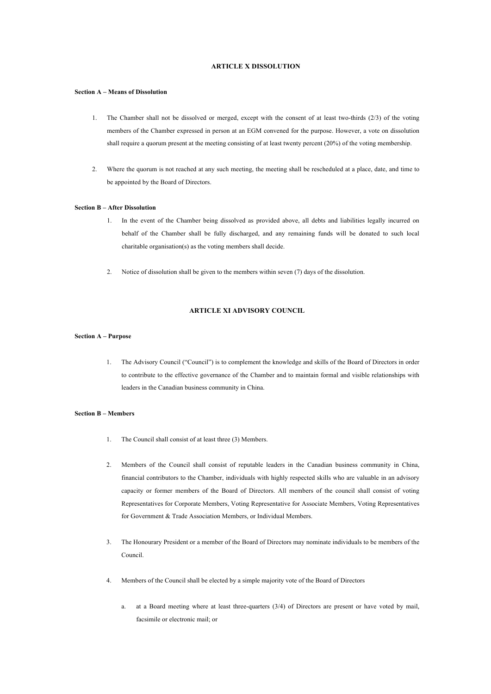# **ARTICLE X DISSOLUTION**

#### **Section A – Means of Dissolution**

- 1. The Chamber shall not be dissolved or merged, except with the consent of at least two-thirds (2/3) of the voting members of the Chamber expressed in person at an EGM convened for the purpose. However, a vote on dissolution shall require a quorum present at the meeting consisting of at least twenty percent (20%) of the voting membership.
- 2. Where the quorum is not reached at any such meeting, the meeting shall be rescheduled at a place, date, and time to be appointed by the Board of Directors.

#### **Section B – After Dissolution**

- 1. In the event of the Chamber being dissolved as provided above, all debts and liabilities legally incurred on behalf of the Chamber shall be fully discharged, and any remaining funds will be donated to such local charitable organisation(s) as the voting members shall decide.
- 2. Notice of dissolution shall be given to the members within seven (7) days of the dissolution.

# **ARTICLE XI ADVISORY COUNCIL**

### **Section A – Purpose**

1. The Advisory Council ("Council") is to complement the knowledge and skills of the Board of Directors in order to contribute to the effective governance of the Chamber and to maintain formal and visible relationships with leaders in the Canadian business community in China.

#### **Section B – Members**

- 1. The Council shall consist of at least three (3) Members.
- 2. Members of the Council shall consist of reputable leaders in the Canadian business community in China, financial contributors to the Chamber, individuals with highly respected skills who are valuable in an advisory capacity or former members of the Board of Directors. All members of the council shall consist of voting Representatives for Corporate Members, Voting Representative for Associate Members, Voting Representatives for Government & Trade Association Members, or Individual Members.
- 3. The Honourary President or a member of the Board of Directors may nominate individuals to be members of the Council.
- 4. Members of the Council shall be elected by a simple majority vote of the Board of Directors
	- a. at a Board meeting where at least three-quarters (3/4) of Directors are present or have voted by mail, facsimile or electronic mail; or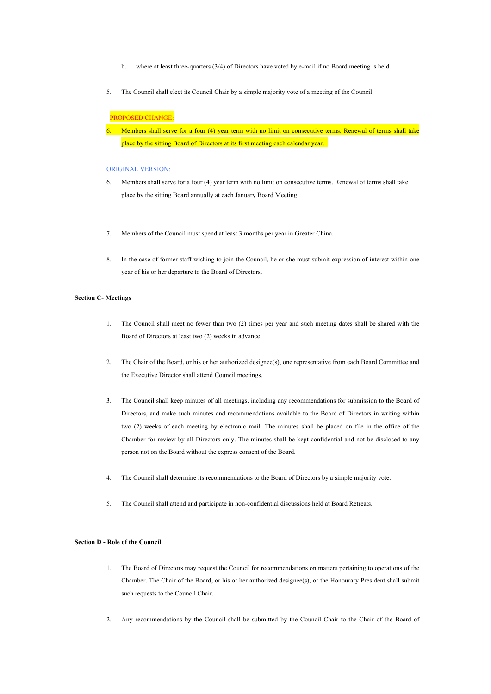- b. where at least three-quarters (3/4) of Directors have voted by e-mail if no Board meeting is held
- 5. The Council shall elect its Council Chair by a simple majority vote of a meeting of the Council.

## PROPOSED CHANGE:

6. Members shall serve for a four (4) year term with no limit on consecutive terms. Renewal of terms shall take place by the sitting Board of Directors at its first meeting each calendar year.

### ORIGINAL VERSION:

- 6. Members shall serve for a four (4) year term with no limit on consecutive terms. Renewal of terms shall take place by the sitting Board annually at each January Board Meeting.
- 7. Members of the Council must spend at least 3 months per year in Greater China.
- 8. In the case of former staff wishing to join the Council, he or she must submit expression of interest within one year of his or her departure to the Board of Directors.

### **Section C- Meetings**

- 1. The Council shall meet no fewer than two (2) times per year and such meeting dates shall be shared with the Board of Directors at least two (2) weeks in advance.
- 2. The Chair of the Board, or his or her authorized designee(s), one representative from each Board Committee and the Executive Director shall attend Council meetings.
- 3. The Council shall keep minutes of all meetings, including any recommendations for submission to the Board of Directors, and make such minutes and recommendations available to the Board of Directors in writing within two (2) weeks of each meeting by electronic mail. The minutes shall be placed on file in the office of the Chamber for review by all Directors only. The minutes shall be kept confidential and not be disclosed to any person not on the Board without the express consent of the Board.
- 4. The Council shall determine its recommendations to the Board of Directors by a simple majority vote.
- 5. The Council shall attend and participate in non-confidential discussions held at Board Retreats.

## **Section D - Role of the Council**

- 1. The Board of Directors may request the Council for recommendations on matters pertaining to operations of the Chamber. The Chair of the Board, or his or her authorized designee(s), or the Honourary President shall submit such requests to the Council Chair.
- 2. Any recommendations by the Council shall be submitted by the Council Chair to the Chair of the Board of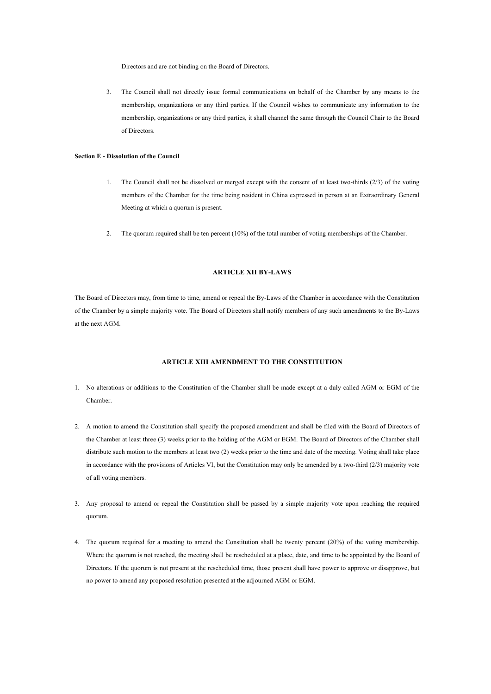Directors and are not binding on the Board of Directors.

3. The Council shall not directly issue formal communications on behalf of the Chamber by any means to the membership, organizations or any third parties. If the Council wishes to communicate any information to the membership, organizations or any third parties, it shall channel the same through the Council Chair to the Board of Directors.

## **Section E - Dissolution of the Council**

- 1. The Council shall not be dissolved or merged except with the consent of at least two-thirds (2/3) of the voting members of the Chamber for the time being resident in China expressed in person at an Extraordinary General Meeting at which a quorum is present.
- 2. The quorum required shall be ten percent (10%) of the total number of voting memberships of the Chamber.

## **ARTICLE XII BY-LAWS**

The Board of Directors may, from time to time, amend or repeal the By-Laws of the Chamber in accordance with the Constitution of the Chamber by a simple majority vote. The Board of Directors shall notify members of any such amendments to the By-Laws at the next AGM.

# **ARTICLE XIII AMENDMENT TO THE CONSTITUTION**

- 1. No alterations or additions to the Constitution of the Chamber shall be made except at a duly called AGM or EGM of the Chamber.
- 2. A motion to amend the Constitution shall specify the proposed amendment and shall be filed with the Board of Directors of the Chamber at least three (3) weeks prior to the holding of the AGM or EGM. The Board of Directors of the Chamber shall distribute such motion to the members at least two (2) weeks prior to the time and date of the meeting. Voting shall take place in accordance with the provisions of Articles VI, but the Constitution may only be amended by a two-third (2/3) majority vote of all voting members.
- 3. Any proposal to amend or repeal the Constitution shall be passed by a simple majority vote upon reaching the required quorum.
- 4. The quorum required for a meeting to amend the Constitution shall be twenty percent (20%) of the voting membership. Where the quorum is not reached, the meeting shall be rescheduled at a place, date, and time to be appointed by the Board of Directors. If the quorum is not present at the rescheduled time, those present shall have power to approve or disapprove, but no power to amend any proposed resolution presented at the adjourned AGM or EGM.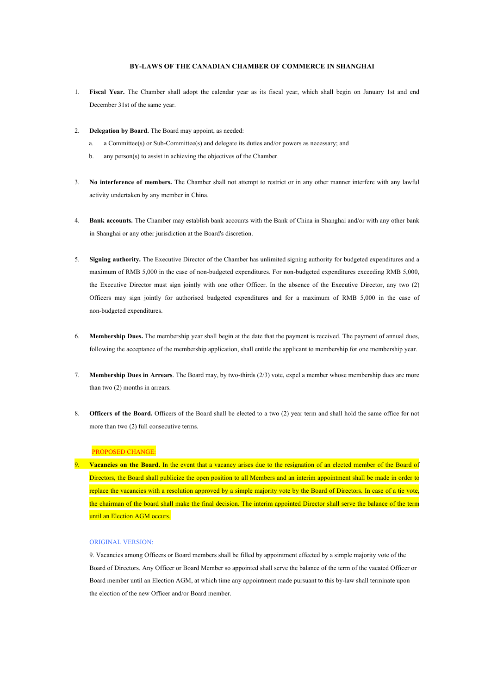### **BY-LAWS OF THE CANADIAN CHAMBER OF COMMERCE IN SHANGHAI**

- 1. **Fiscal Year.** The Chamber shall adopt the calendar year as its fiscal year, which shall begin on January 1st and end December 31st of the same year.
- 2. **Delegation by Board.** The Board may appoint, as needed:
	- a. a Committee(s) or Sub-Committee(s) and delegate its duties and/or powers as necessary; and
	- b. any person(s) to assist in achieving the objectives of the Chamber.
- 3. **No interference of members.** The Chamber shall not attempt to restrict or in any other manner interfere with any lawful activity undertaken by any member in China.
- 4. **Bank accounts.** The Chamber may establish bank accounts with the Bank of China in Shanghai and/or with any other bank in Shanghai or any other jurisdiction at the Board's discretion.
- 5. **Signing authority.** The Executive Director of the Chamber has unlimited signing authority for budgeted expenditures and a maximum of RMB 5,000 in the case of non-budgeted expenditures. For non-budgeted expenditures exceeding RMB 5,000, the Executive Director must sign jointly with one other Officer. In the absence of the Executive Director, any two (2) Officers may sign jointly for authorised budgeted expenditures and for a maximum of RMB 5,000 in the case of non-budgeted expenditures.
- 6. **Membership Dues.** The membership year shall begin at the date that the payment is received. The payment of annual dues, following the acceptance of the membership application, shall entitle the applicant to membership for one membership year.
- 7. **Membership Dues in Arrears**. The Board may, by two-thirds (2/3) vote, expel a member whose membership dues are more than two (2) months in arrears.
- 8. **Officers of the Board.** Officers of the Board shall be elected to a two (2) year term and shall hold the same office for not more than two (2) full consecutive terms.

# PROPOSED CHANGE:

9. **Vacancies on the Board.** In the event that a vacancy arises due to the resignation of an elected member of the Board of Directors, the Board shall publicize the open position to all Members and an interim appointment shall be made in order to replace the vacancies with a resolution approved by a simple majority vote by the Board of Directors. In case of a tie vote, the chairman of the board shall make the final decision. The interim appointed Director shall serve the balance of the term until an Election AGM occurs.

### ORIGINAL VERSION:

9. Vacancies among Officers or Board members shall be filled by appointment effected by a simple majority vote of the Board of Directors. Any Officer or Board Member so appointed shall serve the balance of the term of the vacated Officer or Board member until an Election AGM, at which time any appointment made pursuant to this by-law shall terminate upon the election of the new Officer and/or Board member.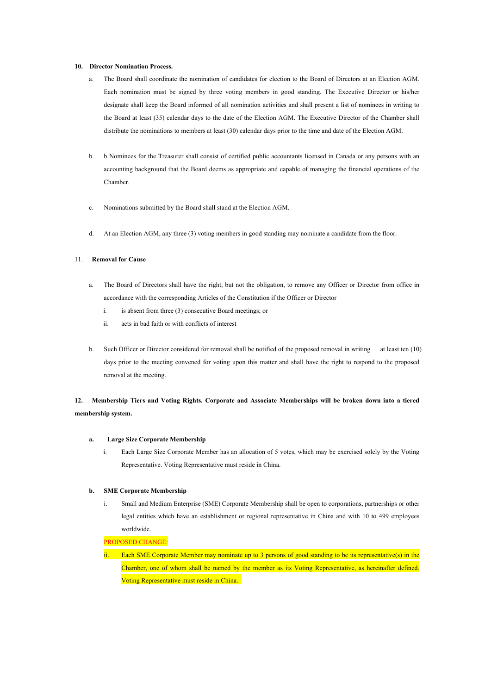### **10. Director Nomination Process.**

- a. The Board shall coordinate the nomination of candidates for election to the Board of Directors at an Election AGM. Each nomination must be signed by three voting members in good standing. The Executive Director or his/her designate shall keep the Board informed of all nomination activities and shall present a list of nominees in writing to the Board at least (35) calendar days to the date of the Election AGM. The Executive Director of the Chamber shall distribute the nominations to members at least (30) calendar days prior to the time and date of the Election AGM.
- b. b.Nominees for the Treasurer shall consist of certified public accountants licensed in Canada or any persons with an accounting background that the Board deems as appropriate and capable of managing the financial operations of the Chamber.
- c. Nominations submitted by the Board shall stand at the Election AGM.
- d. At an Election AGM, any three (3) voting members in good standing may nominate a candidate from the floor.

## 11. **Removal for Cause**

- a. The Board of Directors shall have the right, but not the obligation, to remove any Officer or Director from office in accordance with the corresponding Articles of the Constitution if the Officer or Director
	- i. is absent from three (3) consecutive Board meetings; or
	- ii. acts in bad faith or with conflicts of interest
- b. Such Officer or Director considered for removal shall be notified of the proposed removal in writing at least ten (10) days prior to the meeting convened for voting upon this matter and shall have the right to respond to the proposed removal at the meeting.

# **12. Membership Tiers and Voting Rights. Corporate and Associate Memberships will be broken down into a tiered membership system.**

#### **a. Large Size Corporate Membership**

i. Each Large Size Corporate Member has an allocation of 5 votes, which may be exercised solely by the Voting Representative. Voting Representative must reside in China.

## **b. SME Corporate Membership**

i. Small and Medium Enterprise (SME) Corporate Membership shall be open to corporations, partnerships or other legal entities which have an establishment or regional representative in China and with 10 to 499 employees worldwide.

PROPOSED CHANGE:

Each SME Corporate Member may nominate up to 3 persons of good standing to be its representative(s) in the Chamber, one of whom shall be named by the member as its Voting Representative, as hereinafter defined. Voting Representative must reside in China.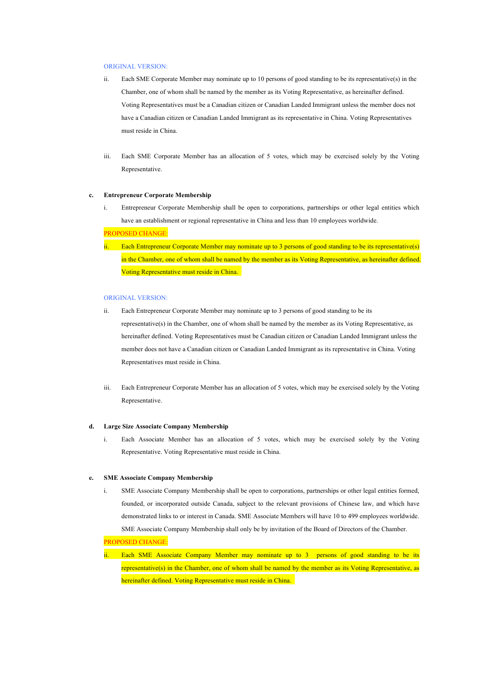#### ORIGINAL VERSION:

- ii. Each SME Corporate Member may nominate up to 10 persons of good standing to be its representative(s) in the Chamber, one of whom shall be named by the member as its Voting Representative, as hereinafter defined. Voting Representatives must be a Canadian citizen or Canadian Landed Immigrant unless the member does not have a Canadian citizen or Canadian Landed Immigrant as its representative in China. Voting Representatives must reside in China.
- iii. Each SME Corporate Member has an allocation of 5 votes, which may be exercised solely by the Voting Representative.

### **c. Entrepreneur Corporate Membership**

i. Entrepreneur Corporate Membership shall be open to corporations, partnerships or other legal entities which have an establishment or regional representative in China and less than 10 employees worldwide.

#### PROPOSED CHANGE:

Each Entrepreneur Corporate Member may nominate up to 3 persons of good standing to be its representative(s) in the Chamber, one of whom shall be named by the member as its Voting Representative, as hereinafter defined. Voting Representative must reside in China.

### ORIGINAL VERSION:

- ii. Each Entrepreneur Corporate Member may nominate up to 3 persons of good standing to be its representative(s) in the Chamber, one of whom shall be named by the member as its Voting Representative, as hereinafter defined. Voting Representatives must be Canadian citizen or Canadian Landed Immigrant unless the member does not have a Canadian citizen or Canadian Landed Immigrant as its representative in China. Voting Representatives must reside in China.
- iii. Each Entrepreneur Corporate Member has an allocation of 5 votes, which may be exercised solely by the Voting Representative.

#### **d. Large Size Associate Company Membership**

i. Each Associate Member has an allocation of 5 votes, which may be exercised solely by the Voting Representative. Voting Representative must reside in China.

#### **e. SME Associate Company Membership**

i. SME Associate Company Membership shall be open to corporations, partnerships or other legal entities formed, founded, or incorporated outside Canada, subject to the relevant provisions of Chinese law, and which have demonstrated links to or interest in Canada. SME Associate Members will have 10 to 499 employees worldwide. SME Associate Company Membership shall only be by invitation of the Board of Directors of the Chamber.

PROPOSED CHANGE:

ii. Each SME Associate Company Member may nominate up to 3 persons of good standing to be its representative(s) in the Chamber, one of whom shall be named by the member as its Voting Representative, as hereinafter defined. Voting Representative must reside in China.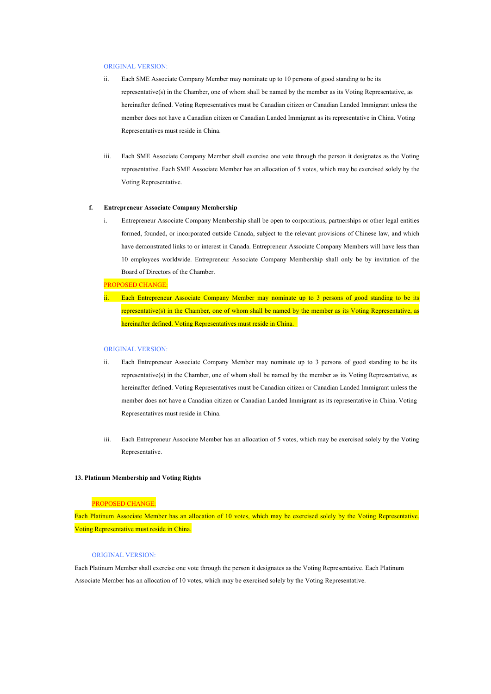#### ORIGINAL VERSION:

- ii. Each SME Associate Company Member may nominate up to 10 persons of good standing to be its representative(s) in the Chamber, one of whom shall be named by the member as its Voting Representative, as hereinafter defined. Voting Representatives must be Canadian citizen or Canadian Landed Immigrant unless the member does not have a Canadian citizen or Canadian Landed Immigrant as its representative in China. Voting Representatives must reside in China.
- iii. Each SME Associate Company Member shall exercise one vote through the person it designates as the Voting representative. Each SME Associate Member has an allocation of 5 votes, which may be exercised solely by the Voting Representative.

#### **f. Entrepreneur Associate Company Membership**

i. Entrepreneur Associate Company Membership shall be open to corporations, partnerships or other legal entities formed, founded, or incorporated outside Canada, subject to the relevant provisions of Chinese law, and which have demonstrated links to or interest in Canada. Entrepreneur Associate Company Members will have less than 10 employees worldwide. Entrepreneur Associate Company Membership shall only be by invitation of the Board of Directors of the Chamber.

### PROPOSED CHANGE:

Each Entrepreneur Associate Company Member may nominate up to 3 persons of good standing to be its representative(s) in the Chamber, one of whom shall be named by the member as its Voting Representative, as hereinafter defined. Voting Representatives must reside in China.

### ORIGINAL VERSION:

- ii. Each Entrepreneur Associate Company Member may nominate up to 3 persons of good standing to be its representative(s) in the Chamber, one of whom shall be named by the member as its Voting Representative, as hereinafter defined. Voting Representatives must be Canadian citizen or Canadian Landed Immigrant unless the member does not have a Canadian citizen or Canadian Landed Immigrant as its representative in China. Voting Representatives must reside in China.
- iii. Each Entrepreneur Associate Member has an allocation of 5 votes, which may be exercised solely by the Voting Representative.

#### **13. Platinum Membership and Voting Rights**

### PROPOSED CHANGE:

Each Platinum Associate Member has an allocation of 10 votes, which may be exercised solely by the Voting Representative. Voting Representative must reside in China.

### ORIGINAL VERSION:

Each Platinum Member shall exercise one vote through the person it designates as the Voting Representative. Each Platinum Associate Member has an allocation of 10 votes, which may be exercised solely by the Voting Representative.